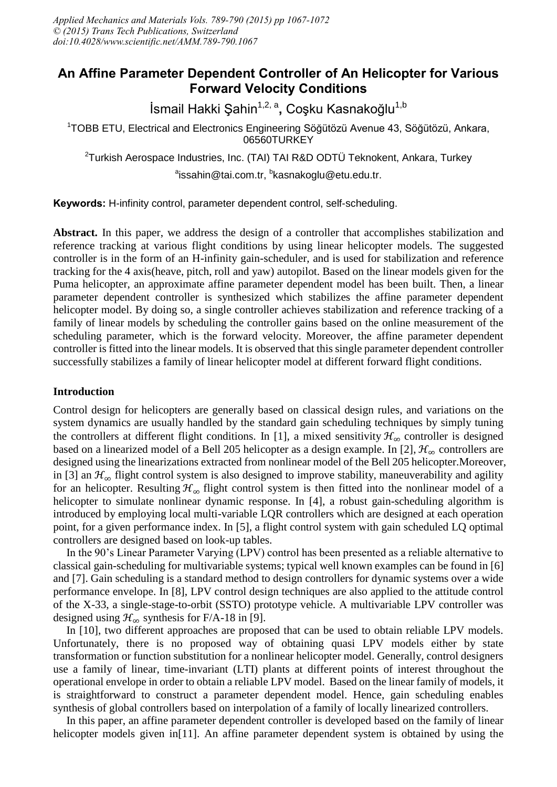## **An Affine Parameter Dependent Controller of An Helicopter for Various Forward Velocity Conditions**

İsmail Hakki Şahin<sup>1,2, a</sup>, Coşku Kasnakoğlu<sup>1,b</sup>

<sup>1</sup>TOBB ETU, Electrical and Electronics Engineering Söğütözü Avenue 43, Söğütözü, Ankara, 06560TURKEY

<sup>2</sup>Turkish Aerospace Industries, Inc. (TAI) TAI R&D ODTÜ Teknokent, Ankara, Turkey

<sup>a</sup>issahin@tai.com.tr, <sup>b</sup>kasnakoglu@etu.edu.tr.

**Keywords:** H-infinity control, parameter dependent control, self-scheduling.

**Abstract.** In this paper, we address the design of a controller that accomplishes stabilization and reference tracking at various flight conditions by using linear helicopter models. The suggested controller is in the form of an H-infinity gain-scheduler, and is used for stabilization and reference tracking for the 4 axis(heave, pitch, roll and yaw) autopilot. Based on the linear models given for the Puma helicopter, an approximate affine parameter dependent model has been built. Then, a linear parameter dependent controller is synthesized which stabilizes the affine parameter dependent helicopter model. By doing so, a single controller achieves stabilization and reference tracking of a family of linear models by scheduling the controller gains based on the online measurement of the scheduling parameter, which is the forward velocity. Moreover, the affine parameter dependent controller is fitted into the linear models. It is observed that this single parameter dependent controller successfully stabilizes a family of linear helicopter model at different forward flight conditions.

### **Introduction**

Control design for helicopters are generally based on classical design rules, and variations on the system dynamics are usually handled by the standard gain scheduling techniques by simply tuning the controllers at different flight conditions. In [1], a mixed sensitivity  $\mathcal{H}_{\infty}$  controller is designed based on a linearized model of a Bell 205 helicopter as a design example. In [2],  $\mathcal{H}_{\infty}$  controllers are designed using the linearizations extracted from nonlinear model of the Bell 205 helicopter.Moreover, in [3] an  $\mathcal{H}_{\infty}$  flight control system is also designed to improve stability, maneuverability and agility for an helicopter. Resulting  $\mathcal{H}_{\infty}$  flight control system is then fitted into the nonlinear model of a helicopter to simulate nonlinear dynamic response. In [4], a robust gain-scheduling algorithm is introduced by employing local multi-variable LQR controllers which are designed at each operation point, for a given performance index. In [5], a flight control system with gain scheduled LQ optimal controllers are designed based on look-up tables.

In the 90's Linear Parameter Varying (LPV) control has been presented as a reliable alternative to classical gain-scheduling for multivariable systems; typical well known examples can be found in [6] and [7]. Gain scheduling is a standard method to design controllers for dynamic systems over a wide performance envelope. In [8], LPV control design techniques are also applied to the attitude control of the X-33, a single-stage-to-orbit (SSTO) prototype vehicle. A multivariable LPV controller was designed using  $\mathcal{H}_{\infty}$  synthesis for F/A-18 in [9].

In [10], two different approaches are proposed that can be used to obtain reliable LPV models. Unfortunately, there is no proposed way of obtaining quasi LPV models either by state transformation or function substitution for a nonlinear helicopter model. Generally, control designers use a family of linear, time-invariant (LTI) plants at different points of interest throughout the operational envelope in order to obtain a reliable LPV model. Based on the linear family of models, it is straightforward to construct a parameter dependent model. Hence, gain scheduling enables synthesis of global controllers based on interpolation of a family of locally linearized controllers.

In this paper, an affine parameter dependent controller is developed based on the family of linear helicopter models given in<sup>[11]</sup>. An affine parameter dependent system is obtained by using the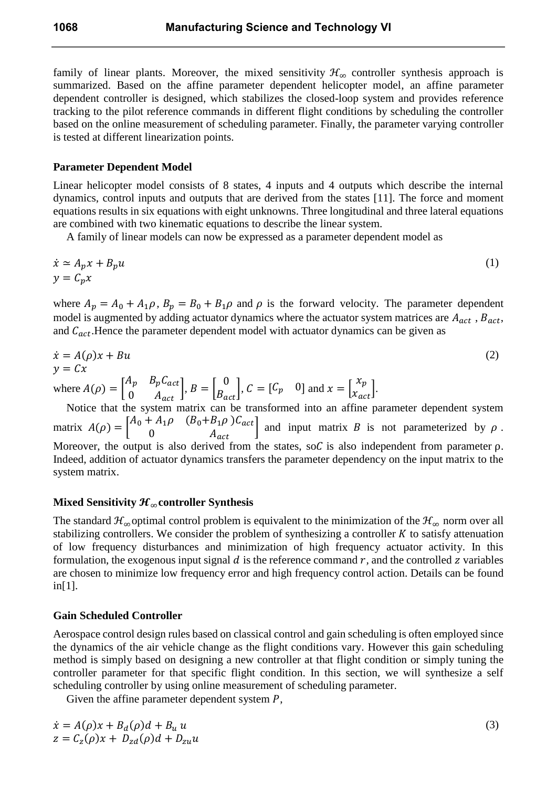family of linear plants. Moreover, the mixed sensitivity  $\mathcal{H}_{\infty}$  controller synthesis approach is summarized. Based on the affine parameter dependent helicopter model, an affine parameter dependent controller is designed, which stabilizes the closed-loop system and provides reference tracking to the pilot reference commands in different flight conditions by scheduling the controller based on the online measurement of scheduling parameter. Finally, the parameter varying controller is tested at different linearization points.

#### **Parameter Dependent Model**

Linear helicopter model consists of 8 states, 4 inputs and 4 outputs which describe the internal dynamics, control inputs and outputs that are derived from the states [11]. The force and moment equations results in six equations with eight unknowns. Three longitudinal and three lateral equations are combined with two kinematic equations to describe the linear system.

A family of linear models can now be expressed as a parameter dependent model as

$$
\begin{aligned}\n\dot{x} &\simeq A_p x + B_p u \\
y &= C_p x\n\end{aligned} \tag{1}
$$

where  $A_p = A_0 + A_1 \rho$ ,  $B_p = B_0 + B_1 \rho$  and  $\rho$  is the forward velocity. The parameter dependent model is augmented by adding actuator dynamics where the actuator system matrices are  $A_{act}$ ,  $B_{act}$ , and  $C_{act}$ . Hence the parameter dependent model with actuator dynamics can be given as

$$
\dot{x} = A(\rho)x + Bu
$$
  
\n
$$
y = Cx
$$
  
\n
$$
A\rho \quad B_p C_{act} \quad D \quad [0 \quad C \quad C \quad 0] \quad L \quad [x_p]
$$

where  $A(\rho) = \begin{bmatrix} p & -p \cdot act \ 0 & A_{act} \end{bmatrix}$ ,  $B = \begin{bmatrix} p \cdot b \cdot act \end{bmatrix}$ ,  $C = \begin{bmatrix} C_p & 0 \end{bmatrix}$  and  $x = \begin{bmatrix} r \cdot b \cdot act \cdot b \cdot act \cdot b \cdot act \cdot b \cdot act \cdot b \cdot act \cdot b \cdot act \cdot b \cdot act \cdot b \cdot act \cdot b \cdot act \cdot b \cdot act \cdot b \cdot act \cdot b \cdot act \cdot b \cdot act \cdot b \cdot act \cdot b \cdot act \cdot b \cdot act \cdot b \$ Notice that the system matrix can be transformed into an affine parameter dependent system matrix  $A(\rho) = \begin{bmatrix} 10 & 11 & \rho & 0 & 0 \\ 0 & 0 & 0 & 0 \\ 0 & 0 & 0 & 0 \end{bmatrix}$  and input matrix B is not parameterized by  $\rho$ . Moreover, the output is also derived from the states, so  $C$  is also independent from parameter  $\rho$ .

Indeed, addition of actuator dynamics transfers the parameter dependency on the input matrix to the system matrix.

#### **Mixed Sensitivity**  $\mathcal{H}_{\infty}$  **controller Synthesis**

The standard  $\mathcal{H}_{\infty}$  optimal control problem is equivalent to the minimization of the  $\mathcal{H}_{\infty}$  norm over all stabilizing controllers. We consider the problem of synthesizing a controller  $K$  to satisfy attenuation of low frequency disturbances and minimization of high frequency actuator activity. In this formulation, the exogenous input signal  $d$  is the reference command  $r$ , and the controlled  $z$  variables are chosen to minimize low frequency error and high frequency control action. Details can be found in[1].

#### **Gain Scheduled Controller**

Aerospace control design rules based on classical control and gain scheduling is often employed since the dynamics of the air vehicle change as the flight conditions vary. However this gain scheduling method is simply based on designing a new controller at that flight condition or simply tuning the controller parameter for that specific flight condition. In this section, we will synthesize a self scheduling controller by using online measurement of scheduling parameter.

Given the affine parameter dependent system  $P$ ,

$$
\dot{x} = A(\rho)x + B_d(\rho)d + B_u u
$$
  
\n
$$
z = C_z(\rho)x + D_{zd}(\rho)d + D_{zu}u
$$

(3)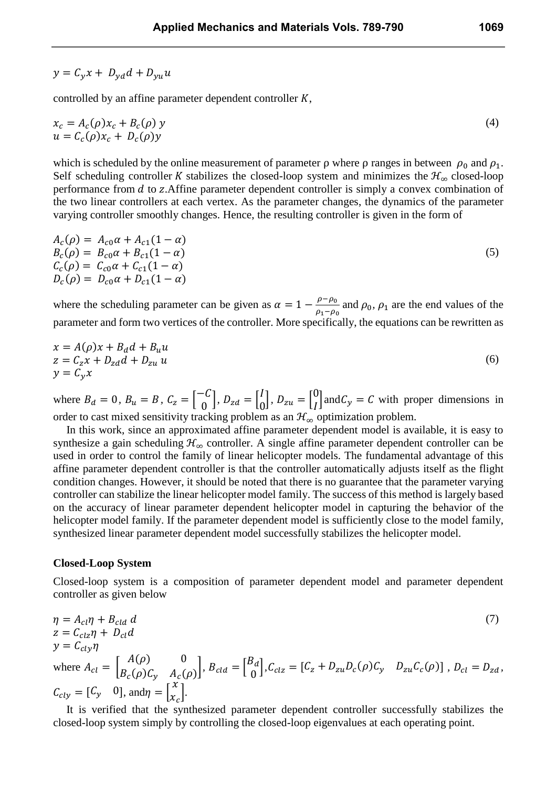# $y = C_y x + D_{yd} d + D_{vu} u$

controlled by an affine parameter dependent controller  $K$ ,

$$
x_c = A_c(\rho)x_c + B_c(\rho)y
$$
  
 
$$
u = C_c(\rho)x_c + D_c(\rho)y
$$
 (4)

which is scheduled by the online measurement of parameter  $\rho$  where  $\rho$  ranges in between  $\rho_0$  and  $\rho_1$ . Self scheduling controller K stabilizes the closed-loop system and minimizes the  $\mathcal{H}_{\infty}$  closed-loop performance from  $d$  to z. Affine parameter dependent controller is simply a convex combination of the two linear controllers at each vertex. As the parameter changes, the dynamics of the parameter varying controller smoothly changes. Hence, the resulting controller is given in the form of

$$
A_c(\rho) = A_{c0}\alpha + A_{c1}(1 - \alpha)
$$
  
\n
$$
B_c(\rho) = B_{c0}\alpha + B_{c1}(1 - \alpha)
$$
  
\n
$$
C_c(\rho) = C_{c0}\alpha + C_{c1}(1 - \alpha)
$$
  
\n
$$
D_c(\rho) = D_{c0}\alpha + D_{c1}(1 - \alpha)
$$
\n(5)

where the scheduling parameter can be given as  $\alpha = 1 - \frac{\rho - \rho_0}{\rho_1 - \rho_0}$  and  $\rho_0$ ,  $\rho_1$  are the end values of the parameter and form two vertices of the controller. More specifically, the equations can be rewritten as

$$
x = A(\rho)x + B_d d + B_u u
$$
  
\n
$$
z = C_z x + D_{zd} d + D_{zu} u
$$
  
\n
$$
y = C_v x
$$
\n(6)

where  $B_d = 0$ ,  $B_u = B$ ,  $C_z = \begin{bmatrix} 0 \\ 0 \end{bmatrix}$ ,  $D_{zd} = \begin{bmatrix} 1 \\ 0 \end{bmatrix}$ ,  $D_{zu} = \begin{bmatrix} 0 \\ I \end{bmatrix}$  and  $C_y = C$  with proper dimensions in order to cast mixed sensitivity tracking problem as an  $\mathcal{H}_{\infty}$  optimization problem.

In this work, since an approximated affine parameter dependent model is available, it is easy to synthesize a gain scheduling  $\mathcal{H}_{\infty}$  controller. A single affine parameter dependent controller can be used in order to control the family of linear helicopter models. The fundamental advantage of this affine parameter dependent controller is that the controller automatically adjusts itself as the flight condition changes. However, it should be noted that there is no guarantee that the parameter varying controller can stabilize the linear helicopter model family. The success of this method is largely based on the accuracy of linear parameter dependent helicopter model in capturing the behavior of the helicopter model family. If the parameter dependent model is sufficiently close to the model family, synthesized linear parameter dependent model successfully stabilizes the helicopter model.

#### **Closed-Loop System**

Closed-loop system is a composition of parameter dependent model and parameter dependent controller as given below

$$
\eta = A_{cl}\eta + B_{cld}d
$$
\n
$$
z = C_{clz}\eta + D_{cl}d
$$
\n
$$
y = C_{cly}\eta
$$
\nwhere\n
$$
A_{cl} = \begin{bmatrix} A(\rho) & 0 \\ B_c(\rho)C_y & A_c(\rho) \end{bmatrix}, \ B_{cld} = \begin{bmatrix} B_d \\ 0 \end{bmatrix}, \ C_{clz} = \begin{bmatrix} C_z + D_{zu}D_c(\rho)C_y & D_{zu}C_c(\rho) \end{bmatrix}, \ D_{cl} = D_{zd},
$$
\n
$$
C_{cly} = \begin{bmatrix} C_y & 0 \end{bmatrix}, \text{and}\eta = \begin{bmatrix} X \\ X_c \end{bmatrix}.
$$
\n
$$
(7)
$$

It is verified that the synthesized parameter dependent controller successfully stabilizes the closed-loop system simply by controlling the closed-loop eigenvalues at each operating point.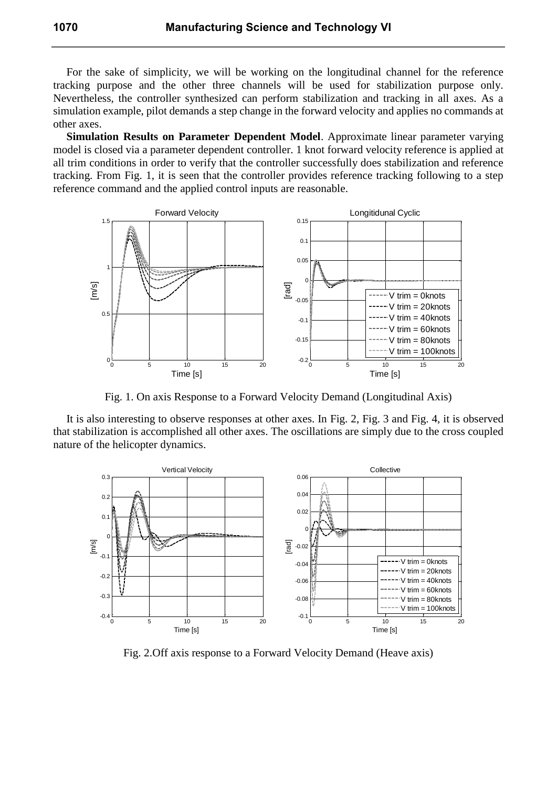For the sake of simplicity, we will be working on the longitudinal channel for the reference tracking purpose and the other three channels will be used for stabilization purpose only. Nevertheless, the controller synthesized can perform stabilization and tracking in all axes. As a simulation example, pilot demands a step change in the forward velocity and applies no commands at other axes.

**Simulation Results on Parameter Dependent Model**. Approximate linear parameter varying model is closed via a parameter dependent controller. 1 knot forward velocity reference is applied at all trim conditions in order to verify that the controller successfully does stabilization and reference tracking. From Fig. 1, it is seen that the controller provides reference tracking following to a step reference command and the applied control inputs are reasonable.



Fig. 1. On axis Response to a Forward Velocity Demand (Longitudinal Axis)

It is also interesting to observe responses at other axes. In Fig. 2, Fig. 3 and Fig. 4, it is observed that stabilization is accomplished all other axes. The oscillations are simply due to the cross coupled nature of the helicopter dynamics.



Fig. 2.Off axis response to a Forward Velocity Demand (Heave axis)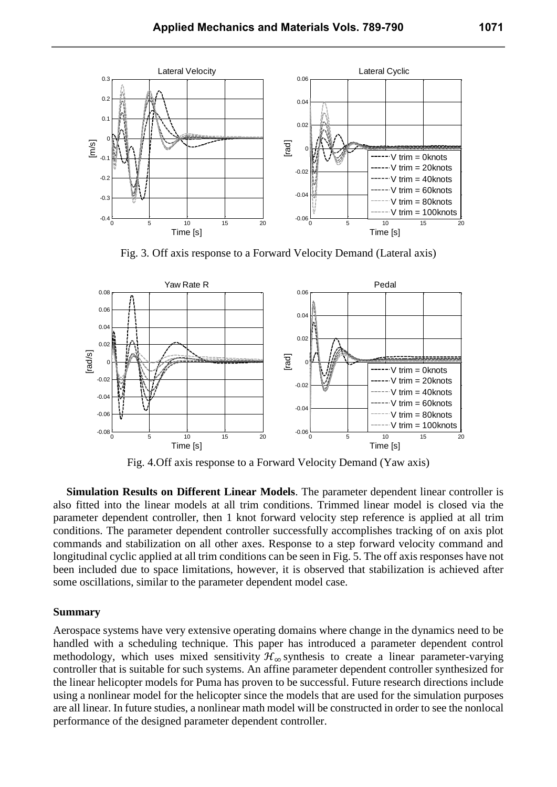

Fig. 3. Off axis response to a Forward Velocity Demand (Lateral axis)



Fig. 4.Off axis response to a Forward Velocity Demand (Yaw axis)

**Simulation Results on Different Linear Models**. The parameter dependent linear controller is also fitted into the linear models at all trim conditions. Trimmed linear model is closed via the parameter dependent controller, then 1 knot forward velocity step reference is applied at all trim conditions. The parameter dependent controller successfully accomplishes tracking of on axis plot commands and stabilization on all other axes. Response to a step forward velocity command and longitudinal cyclic applied at all trim conditions can be seen in Fig. 5. The off axis responses have not been included due to space limitations, however, it is observed that stabilization is achieved after some oscillations, similar to the parameter dependent model case.

#### **Summary**

Aerospace systems have very extensive operating domains where change in the dynamics need to be handled with a scheduling technique. This paper has introduced a parameter dependent control methodology, which uses mixed sensitivity  $\mathcal{H}_{\infty}$  synthesis to create a linear parameter-varying controller that is suitable for such systems. An affine parameter dependent controller synthesized for the linear helicopter models for Puma has proven to be successful. Future research directions include using a nonlinear model for the helicopter since the models that are used for the simulation purposes are all linear. In future studies, a nonlinear math model will be constructed in order to see the nonlocal performance of the designed parameter dependent controller.